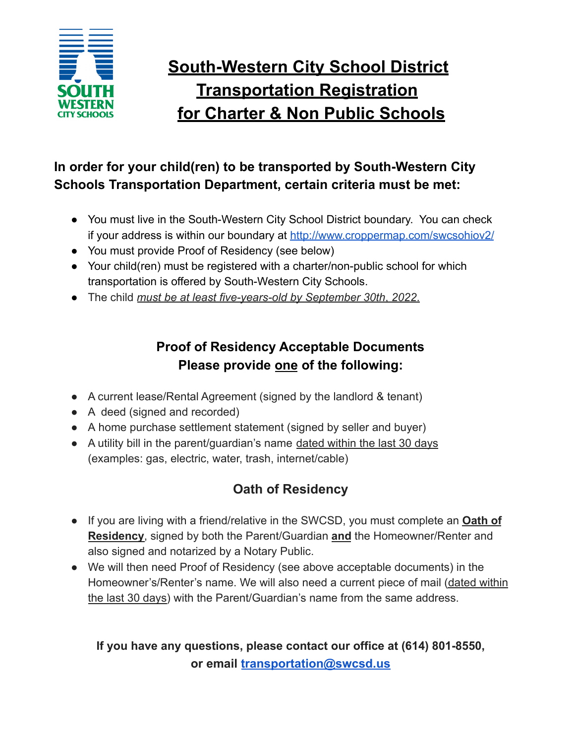

# **South-Western City School District Transportation Registration for Charter & Non Public Schools**

## **In order for your child(ren) to be transported by South-Western City Schools Transportation Department, certain criteria must be met:**

- You must live in the South-Western City School District boundary. You can check if your address is within our boundary at <http://www.croppermap.com/swcsohiov2/>
- You must provide Proof of Residency (see below)
- Your child(ren) must be registered with a charter/non-public school for which transportation is offered by South-Western City Schools.
- The child *must be at least five-years-old by September 30th*, *2022*.

# **Proof of Residency Acceptable Documents Please provide one of the following:**

- A current lease/Rental Agreement (signed by the landlord & tenant)
- A deed (signed and recorded)
- A home purchase settlement statement (signed by seller and buyer)
- A utility bill in the parent/guardian's name dated within the last 30 days (examples: gas, electric, water, trash, internet/cable)

# **Oath of Residency**

- If you are living with a friend/relative in the SWCSD, you must complete an **Oath of Residency**, signed by both the Parent/Guardian **and** the Homeowner/Renter and also signed and notarized by a Notary Public.
- We will then need Proof of Residency (see above acceptable documents) in the Homeowner's/Renter's name. We will also need a current piece of mail (dated within the last 30 days) with the Parent/Guardian's name from the same address.

#### **If you have any questions, please contact our office at (614) 801-8550, or email [transportation@swcsd.us](mailto:transportation@swcsd.us)**